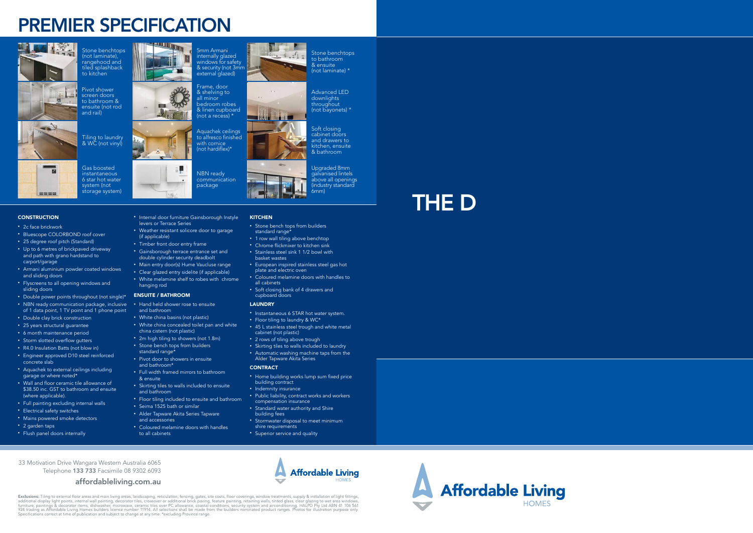## PREMIER SPECIFICATION





- 2c face brickwork
- Bluescope COLORBOND roof cover
- 25 degree roof pitch (Standard)
- Up to 6 metres of brickpaved driveway and path with grano hardstand to carport/garage
- Armani aluminium powder coated windows and sliding doors
- Flyscreens to all opening windows and sliding doors
- Double power points throughout (not single)\* • NBN ready communication package, inclusive of 1 data point, 1 TV point and 1 phone point
- Double clay brick construction
- 25 years structural guarantee
- 6 month maintenance period
- Storm slotted overflow gutters
- R4.0 Insulation Batts (not blow in)
- Engineer approved D10 steel reinforced concrete slab
- Aquachek to external ceilings including garage or where noted\*
- Wall and floor ceramic tile allowance of \$38.50 inc. GST to bathroom and ensuite (where applicable).
- Full painting excluding internal walls
- Electrical safety switches
- Mains powered smoke detectors
- 2 garden taps
- Flush panel doors internally

• 2m high tiling to showers (not 1.8m) • Stone bench tops from builders

• Full width framed mirrors to bathroom

• Internal door furniture Gainsborough Instyle

• Stone bench tops from builders standard range\*

 $x - 1 - x^2 + x$ 

levers or Terrace Series

• Weather resistant solicore door to garage

(if applicable)

• Timber front door entry frame

- 1 row wall tiling above benchtop • Chrome flickmixer to kitchen sink
- Stainless steel sink 1 1/2 bowl with basket wastes
- European inspired stainless steel gas hot plate and electric oven
- Coloured melamine doors with handles to all cabinets
- Soft closing bank of 4 drawers and cupboard doors

• Gainsborough terrace entrance set and double cylinder security deadbolt • Main entry door(s) Hume Vaucluse range • Clear glazed entry sidelite (if applicable) • White melamine shelf to robes with chrome

hanging rod ENSUITE / BATHROOM

• Hand held shower rose to ensuite

and bathroom

• White china basins (not plastic)

• White china concealed toilet pan and white

china cistern (not plastic)

standard range\*

• Pivot door to showers in ensuite

and bathroom\*

& ensuite

• Skirting tiles to walls included to ensuite

and bathroom

• Floor tiling included to ensuite and bathroom

• Seima 1525 bath or similar • Alder Tapware Akita Series Tapware

and accessories

• Coloured melamine doors with handles

Tiling to laundry & WC (not vinyl)  $\overline{\phantom{a}}$ 

to all cabinets

throughout (not bayonets) \* Soft closing

#### LAUNDRY

**KITCHEN** 

- Instantaneous 6 STAR hot water system.
- Floor tiling to laundry & WC\*
- 45 L stainless steel trough and white metal cabinet (not plastic)
- 2 rows of tiling above trough
- Skirting tiles to walls included to laundry
- Automatic washing machine taps from the Alder Tapware Akita Series

#### **CONTRACT**

- Home building works lump sum fixed price building contract
- Indemnity insurance
- Public liability, contract works and workers compensation insurance
- Standard water authority and Shire building fees
- Stormwater disposal to meet minimum shire requirements
- Superior service and quality



**Affordable Living HOMES** 



Stone benchtops (not laminate), rangehood and tiled splashback to kitchen

Pivot shower



Boot

**FOR** 

screen doors to bathroom & ensuite (not rod and rail)

Gas boosted instantaneous 6 star hot water system (not storage system)

#### **CONSTRUCTION**

 $m = m$ 

5mm Armani internally glazed windows for safety & security (not 3mm external glazed)



Aquachek ceilings to alfresco finished with cornice (not hardiflex)\*



Stone benchtops to bathroom & ensuite

(not laminate) \* Advanced LED downlights

> cabinet doors and drawers to kitchen, ensuite & bathroom

Upgraded 8mm galvanised lintels above all openings (industry standard 6mm)

33 Motivation Drive Wangara Western Australia 6065 Telephone 133 733 Facsimile 08 9302 6093

#### affordableliving.com.au



# THE D